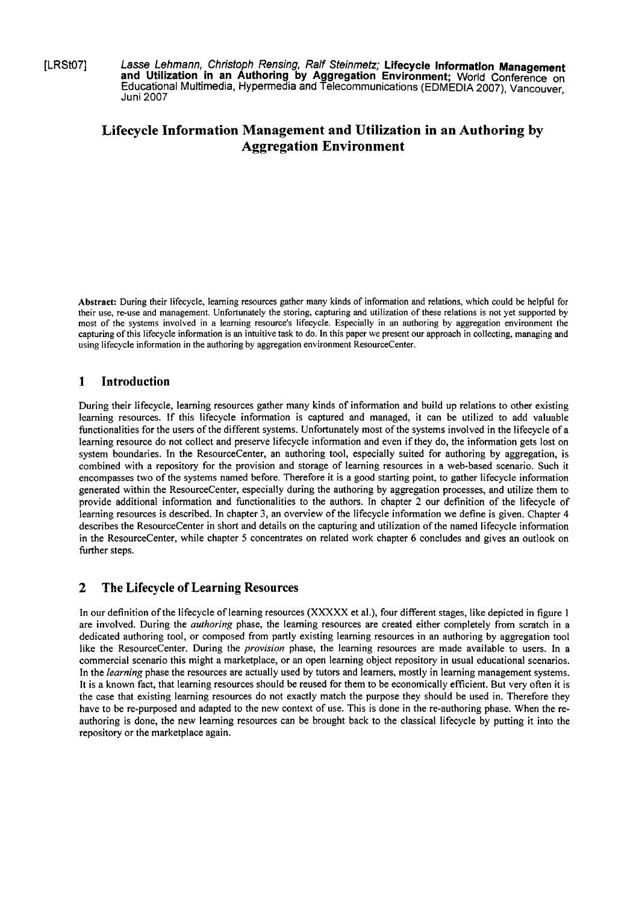[LRSt07] **Lasse Lehmann, Christoph Rensing, Ralf Steinmetz; Lifecycle Information Management and Utilization in an Authoring by Aggregation Environment;** World Conference On Educational Multimedia, Hypermedia and Telecommunications (EDMEDIA 2007), Vancouver,. Juni 2007

# **Lifecycle Information Management and Utilization in an Authoring by Aggregation Environment**

**Abstract:** During their lifecycle, learning resources gather many kinds of information and relations, which could **be** helpful for their use, re-use and management. Unfortunately the storing, capturing and utilization of these relations is not yet supported by most of the systems involved in a learning resource's lifecycle. Especially in an authoring by aggregation environment the capturing of this lifecycle information is an intuitive task to do. In this paper we present our approach in collecting, managing and using lifecycle information in the authoring by aggregation environment ResourceCenter.

# **1 Introduction**

During their lifecycle, learning resources gather many kinds of information and build up relations to other existing leaming resources. If this lifecycle information is captured and managed, it can be utilized to add valuable functionalities for the users of the different systems. Unfortunately most of the systems involved in the lifecycle of a learning resource do not collect and preserve lifecycle information and even if they do, the information gets lost on system boundaries. In the ResourceCenter, an authoring tool, especially suited for authoring by aggregation, is combined with a repository for the provision and Storage of leaming resources in a web-based scenario. Such it encompasses two of the systems named before. Therefore it is a good starting point, to gather lifecycle information generated within the ResourceCenter, especially during the authoring by aggregation processes, and utilize them to provide additional information and functionalities to the authors. In chapter 2 our definition of the lifecycle of learning resources is described. In chapter 3, an overview of the lifecycle information we define is given. Chapter 4 describes the ResourceCenter in short and details on the capturing and utilization of the named lifecycle information in the ResourceCenter, while chapter 5 concentrates on related work chapter *6* concludes and gives an outlook on further steps.

# **2 The Lifecycle of Learning Resources**

In our definition of the lifecycle of learning resources **(XXXXX** et al.), four different Stages, like depicted in figure 1 are involved. During the *authoring* phase, the leaming resources are created either completely fiom scratch in a dedicated authoring tool, or composed from partly existing learning resources in an authoring by aggregation tool like the ResourceCenter. During the *provision* phase, the learning resources are made available to users. In a commercial scenario this might a marketplace, or an Open learning object repository in usual educational scenarios. In the *learning* phase the resources are actually used by tutors and leamers, mostly in learning management systems. It is a known fact, that learning resources should be reused for them to be economically efficient. But very often it is the case that existing learning resources do not exactly match the purpose they should be used in. Therefore they have to be re-purposed and adapted to the new context of use. This is done in the re-authoring phase. When the reauthoring is done, the new leaming resources can be brought back to the classical lifecycle by putting it into the repository or the marketplace again.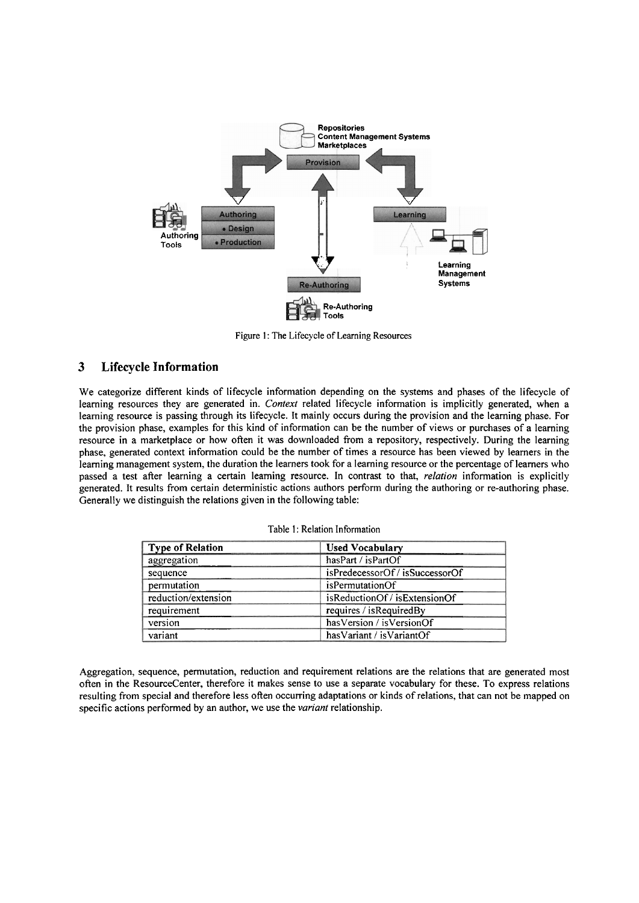

Figure 1: The Lifecycle of Learning Resources

## **3 Lifecycle Information**

We categorize different kinds of lifecycle information depending on the Systems and phases of the lifecycle of leaming resources they are generated in. *Context* related lifecycle information is implicitly generated, when a learning resource is passing through its lifecycle. It mainly occurs during the provision and the leaming phase. For the provision phase, examples for this kind of information can be the number of views or purchases of a learning resource in a marketplace or how often it was downloaded from a repository, respectively. During the learning phase, generated context information could be the number of times a resource has been viewed by leamers in the learning management System, the duration the leamers took for a leaming resource or the percentage of leamers who passed a test after learning a certain learning resource. In contrast to that, *relation* information is explicitly generated. It results from certain deterministic actions authors perform during the authoring or re-authoring phase. Generally we distinguish the relations given in the following table:

| Type of Relation    | <b>Used Vocabulary</b>        |
|---------------------|-------------------------------|
| aggregation         | hasPart / isPartOf            |
| sequence            | isPredecessorOf/isSuccessorOf |
| permutation         | isPermutationOf               |
| reduction/extension | isReductionOf / isExtensionOf |
| requirement         | requires / isRequiredBy       |
| version             | has Version / is Version Of   |
| variant             | has Variant / is Variant Of   |

Table 1: Relation Information

Aggregation, sequence, permutation, reduction and requirement relations are the relations that are generated most often in the ResourceCenter, therefore it makes sense to use a separate vocabulary for these. To express relations resulting from special and therefore less often occurring adaptations or kinds of relations, that can not be mapped on specific actions performed by an author, we use the *variant* relationship.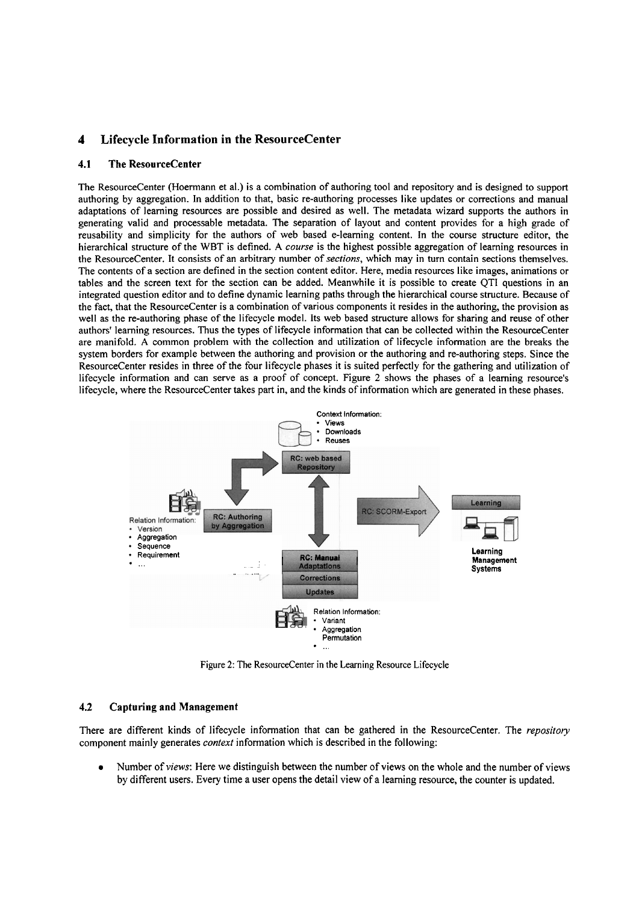## **4 Lifecycle Information in the ResourceCenter**

### **4.1 The ResourceCenter**

The ResourceCenter (Hoermann et al.) is a combination of authoring tool and repository and is designed to Support authoring by aggregation. In addition to that, basic re-authoring processes like updates or corrections and manual adaptations of leaming resources are possible and desired as well. The metadata wizard supports the authors in generating valid and processable metadata. The separation of layout and content provides for a high grade of reusability and simplicity for the authors of web based e-learning content. In the course structure editor, the hierarchical structure of the WBT is defined. *A course* is the highest possible aggregation of learning resources in the ResourceCenter. It consists of an arbitrary number of *sections,* which may in tum contain sections themselves. The contents of a section are defined in the section content editor. Here, media resources like images, animations or tables and the screen text for the section can be added. Meanwhile it is possible to create QTI questions in an integrated question editor and to define dynamic learning paths through the hierarchical course structure. Because of the fact, that the ResourceCenter is a combination of various components it resides in the authoring, the provision as well as the re-authoring phase of the lifecycle model. **Its** web based structure allows for sharing and reuse of other authors' leaming resources. Thus the types of lifecycle information that can be collected within the ResourceCenter are manifold. **A** common problem with the collection and utilization of lifecycle information are the breaks the system borders for example between the authoring and provision or the authoring and re-authoring steps. Since the ResourceCenter resides in three of the four lifecycle phases it is suited perfectly for the gathering and utilization of lifecycle information and can serve as a proof of concept. Figure 2 shows the phases of a learning resource's lifecycle, where the ResourceCenter takes part in, and the kinds of information which are generated in these phases.



Figure **2:** The ResourceCenter in the Learning Resource Lifecycle

### **4.2 Capturing and Management**

There are different kinds of lifecycle information that can be gathered in the ResourceCenter. The *repository*  component mainly generates *context* information which is described in the following:

Number of *views:* Here we distinguish between the number of views on the whole and the number of views by different users. Every time a user opens the detail view of a learning resource, the counter is updated.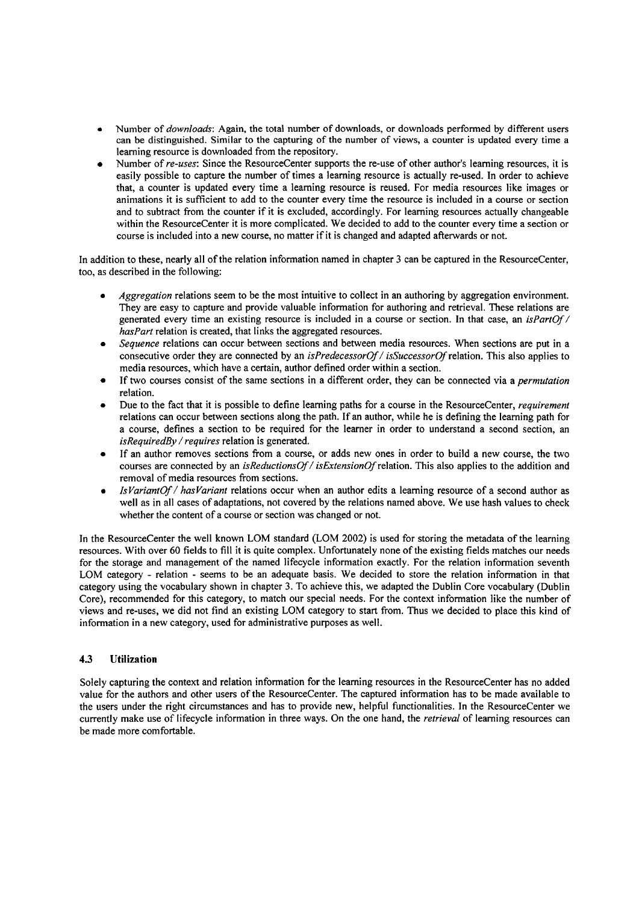- Number of *downloads:* Again, the total number of downloads, or downloads performed by different users can be distinguished. Similar to the capturing of the number of views, a counter is updated every time a leaming resource is downloaded from the repository.
- Number of *re-uses:* Since the ResourceCenter supports the re-use of other author's leaming resources, it is easily possible to capture the number of times a leaming resource is actually re-used. In order to achieve that, a counter is updated every time a leaming resource is reused. For media resources like images or animations it is sufficient to add to the counter every time the resource is included in a course or section and to subtract from the counter if it is excluded, accordingly. For leaming resources actually changeable within the ResourceCenter it is more complicated. We decided to add to the counter every time a section or course is included into a new course, no matter if it is changed and adapted afterwards or not.

In addition to these, nearly all of the relation information named in chapter **3** can be captured in the ResourceCenter, too, as described in the following:

- *Aggregation* relations seem to be the most intuitive to collect in an authoring by aggregation environment. They are easy to capture and provide valuable information for authoring and retrieval. These relations are generated every time an existing resource is included in a course or section. In that case, an *isPartOf* / *hasPart* relation is created, that links the aggregated resources.
- *Sequence* relations can occur between sections and between media resources. When sections are put in a consecutive order they are connected by an *isPredecessorOf/ isSuccessorOf* relation. This also applies to media resources, which have a certain, author defined order within a section.
- If two courses consist of the Same sections in a different order, they can be connected via a *permutation*  relation.
- Due to the fact that it is possible to define leaming paths for a course in the ResourceCenter, *requirement*  relations can occur between sections along the path. If an author, while he is defining the leaming path for a course, defines a section to be required for the learner in order to understand a second section, an *isRequiredBy* / *requires* relation is generated.
- If an author removes sections from a course, or adds new ones in order to build a new course, the two courses are connected by an *isReductionsOf/ isExtensionOf* relation. This also applies to the addition and removal of media resources from sections.
- *IsVariantOf/ hasvariant* relations occur when an author edits a leaming resource of a second author as well as in all cases of adaptations, not covered by the relations named above. We use hash values to check whether the content of a course or section was changed or not.

In the ResourceCenter the well known LOM standard (LOM *2002)* is used for storing the metadata of the leaming resources. With over *60* fields to fill it is quite complex. Unfortunately none of the existing fields matches our needs for the storage and management of the named lifecycle information exactly. For the relation information seventh LOM category - relation - seems to be an adequate basis. We decided to store the relation information in that category using the vocabulary shown in chapter **3.** To achieve this, we adapted the Dublin Core vocabulary (Dublin Core), recommended for this category, to match our special needs. For the context information like the number of views and re-uses, we did not find an existing LOM category to Start from. Thus we decided to place this kind of information in a new category, used for administrative purposes as well.

### **4.3 Utilization**

Solely capturing the context and relation information for the leaming resources in the ResourceCenter has no added value for the authors and other users of the ResourceCenter. The captured information has to be made available to the users under the right circumstances and has to provide new, helpful functionalities. In the ResourceCenter we currently make use of lifecycle information in three ways. On the one hand, the *retrieval* of leaming resources can be made more comfortable.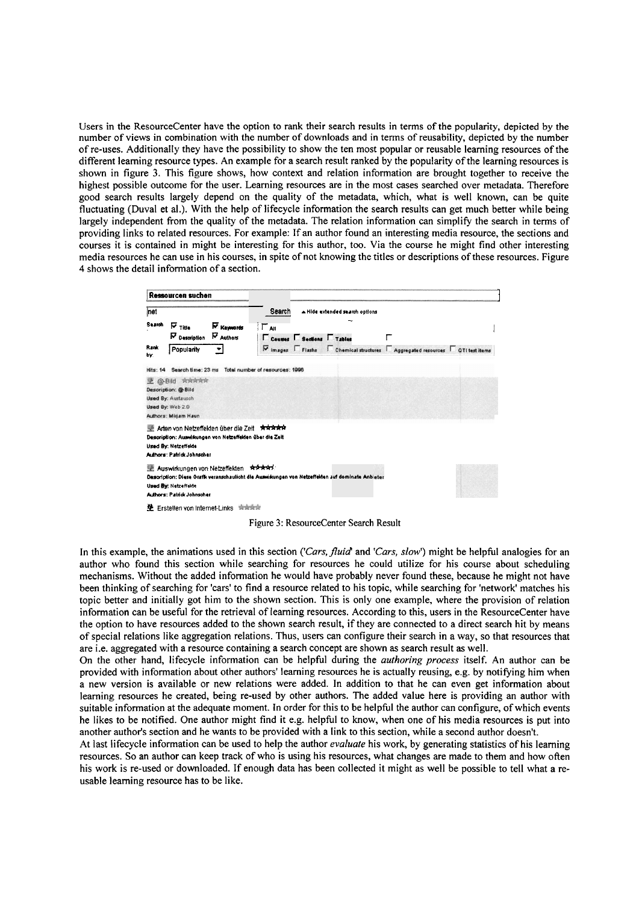Users in the ResourceCenter have the option to rank their search results in terms of the popularity, depicted by the number of views in combination with the number of downloads and in terms of reusability, depicted by the number of re-uses. Additionally they have the possibility to show the ten most popular or reusable learning resources of the different learning resource types. An example for a search result ranked by the popularity of the learning resources is shown in figure 3. This figure shows, how context and relation information are brought together to receive the highest possible outcome for the user. Learning resources are in the most cases searched over metadata. Therefore good search results largely depend on the quality of the metadata, which, what is well known, can be quite fluctuating (Duval et al.). With the help of lifecycle information the search results can get much better while being largely independent from the quality of the metadata. The relation information can simplify the search in terms of providing links to related resources. For example: If an author found an interesting media resource, the sections and courses it is contained in might be interesting for this author, too. Via the course he might find other interesting media resources he can use in his courses, in spite of not knowing the titles or descriptions of these resources. Figure 4 shows the detail information of a section.

|                       | Ressourcen suchen                                                                                                                                                          |                                       |                                 |                                                                                                  |                                                                              |  |
|-----------------------|----------------------------------------------------------------------------------------------------------------------------------------------------------------------------|---------------------------------------|---------------------------------|--------------------------------------------------------------------------------------------------|------------------------------------------------------------------------------|--|
| net                   |                                                                                                                                                                            |                                       | Search                          | A Hide extended search options                                                                   |                                                                              |  |
| Search<br>Rank<br>bv. | $\bar{v}_{\text{time}}$<br><b>N</b> Description<br>Popularity<br>▼∣                                                                                                        | <b>N</b> Keywords<br>∏ுங<br>N Authors | <b>Equippes</b> Sections Tables |                                                                                                  | r<br>V images Fiashs Chemical structures Aggregated resources QTI test items |  |
|                       | Hits: 14 Search time: 23 ms                                                                                                                                                | Total number of resources: 1996       |                                 |                                                                                                  |                                                                              |  |
| <b>三 @-Bild</b>       | 京京向京京<br>Description: @-Bild<br><b>Used By: Austausch</b><br>Used By: Web 2.0<br>Authors: Mirjam Haun                                                                      |                                       |                                 |                                                                                                  |                                                                              |  |
|                       | 壁 Adan von Netzeffekten über die Zeit <del>· 大女女女女</del><br>Description: Auswirkungen von Netzeffelden über die Zeit<br>Used By: Netzeffekte<br>Authors: Patrick Johnscher |                                       |                                 |                                                                                                  |                                                                              |  |
|                       | 壁 Auswirkungen von Netzeffelden Rock Antrik<br>Used By: Netzeffekte<br>Authors: Patrick Johnscher                                                                          |                                       |                                 | Desoription: Diese Grafik veranschauficht die Auswisungen von Netzeffekten auf dominate Anbieter |                                                                              |  |
|                       | 垫 Erstellen von Internet-Links 南南南南                                                                                                                                        |                                       |                                 |                                                                                                  |                                                                              |  |

Figure 3: ResourceCenter Search Result

In this example, the animations used in this section ('Cars, fluid' and 'Cars, slow') might be helpful analogies for an author who found this section while searching for resources he could utilize for his course about scheduling mechanisms. Without the added information he would have probably never found these, because he might not have been thinking of searching for 'cars' to find a resource related to his topic, while searching for 'network' matches his topic better and initially got him to the shown section. This is only one example, where the provision of relation information can be useful for the retrieval of learning resources. According to this, users in the ResourceCenter have the option to have resources added to the shown search result, if they are connected to a direct search hit by means of special relations like aggregation relations. Thus, users can configure their search in a way, so that resources that are i.e. aggregated with a resource containing a search concept are shown as search result as well.

On the other hand, lifecycle information can be helpful during the *authoring process* itself. An author can be provided with information about other authors' learning resources he is actually reusing, e.g. by notifying him when a new version is available or new relations were added. In addition to that he can even get information about learning resources he created, being re-used by other authors. The added value here is providing an author with suitable information at the adequate moment. In order for this to be helpful the author can configure, of which events he likes to be notified. One author might find it e.g. helpful to know, when one of his media resources is put into another author's section and he wants to be provided with a link to this section, while a second author doesn't.

At last lifecycle information can be used to help the author *evaluate* his work, by generating statistics of his learning resources. So an author can keep track of who is using his resources, what changes are made to them and how often his work is re-used or downloaded. If enough data has been collected it might as well be possible to tell what a reusable learning resource has to be like.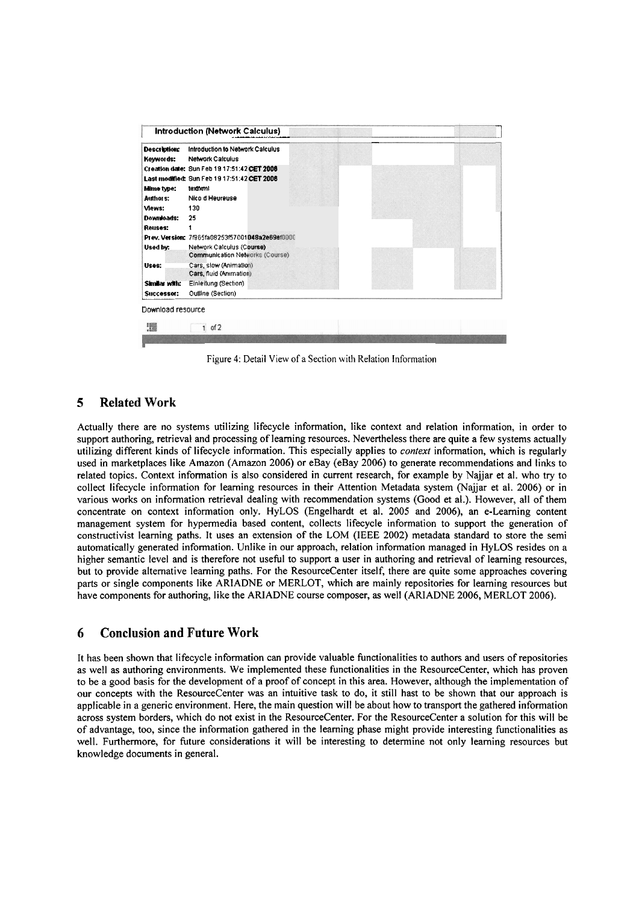|                                  | Introduction (Network Calculus)                                     |  |
|----------------------------------|---------------------------------------------------------------------|--|
| <b>Description:</b><br>Keywords: | Introduction to Network Calculus<br><b>Network Calculus</b>         |  |
|                                  | Creation date: Sun Feb 19 17:51:42 CET 2006                         |  |
|                                  | Last modified: Sun Feb 19 17:51:42 CET 2006                         |  |
| Mime type:                       | texttxml                                                            |  |
| Authors:                         | Nico d Heureuse                                                     |  |
| Views:                           | 130                                                                 |  |
| Downloads:                       | 25                                                                  |  |
| Reuses:                          |                                                                     |  |
|                                  | Prev. Version: 7/965fa08253f57001048a2e69ef0000                     |  |
| Used by:                         | Network Calculus (Course)<br><b>Communication Networks (Course)</b> |  |
| Uses:                            | Cars, slow (Animation)<br>Cars, fluid (Animation)                   |  |
| Similar with:                    | Einleitung (Section)                                                |  |
| Successor:                       | Outline (Section)                                                   |  |

Figure 4: Detail View of a Section with Relation Information

# **5 Related Work**

Actually there are no systems utilizing lifecycle information, like context and relation information, in order to support authoring, retrieval and processing of learning resources. Nevertheless there are quite a few systems actually utilizing different kinds of lifecycle information. This especially applies to *context* information, which is regularly used in marketplaces like Amazon (Amazon 2006) or eBay (eBay 2006) to generate recommendations and links to related topics. Context information is also considered in current research, for example by Najjar et al. who try to collect lifecycle information for learning resources in their Attention Metadata system (Najjar et al. 2006) or in various works on information retrieval dealing with recommendation systems (Good et al.). However, all of them concentrate on context information only. HyLOS (Engelhardt et al. 2005 and 2006), an e-Learning content management system for hypermedia based content, collects lifecycle information to support the generation of constructivist learning paths. It uses an extension of the LOM (IEEE 2002) metadata standard to Store the semi automatically generated information. Unlike in our approach, relation information managed in HyLOS resides on a higher semantic level and is therefore not useful to support a user in authoring and retrieval of learning resources, but to provide alternative leaming paths. For the ResourceCenter itself, there are quite some approaches covering parts or single components like ARlADNE or MERLOT, which are mainly repositories for learning resources but have components for authoring, like the ARIADNE course composer, as well (ARIADNE 2006, MERLOT 2006).

# **6 Conclusion and Future Work**

It has been shown that lifecycle information can provide valuable functionalities to authors and Users of repositories as well as authoring environments. We implemented these functionalities in the ResourceCenter, which has proven to be a good basis for the development of a proof of concept in this area. However, although the implementation of our concepts with the ResourceCenter was an intuitive task to do, it still hast to be shown that our approach is applicable in a generic environment. Here, the main question will be about how to transport the gathered information across system borders, which do not exist in the ResourceCenter. For the ResourceCenter a solution for this will be of advantage, too, since the information gathered in the learning phase might provide interesting functionalities as well. Furthermore, for future considerations it will be interesting to determine not only learning resources but knowledge documents in general.